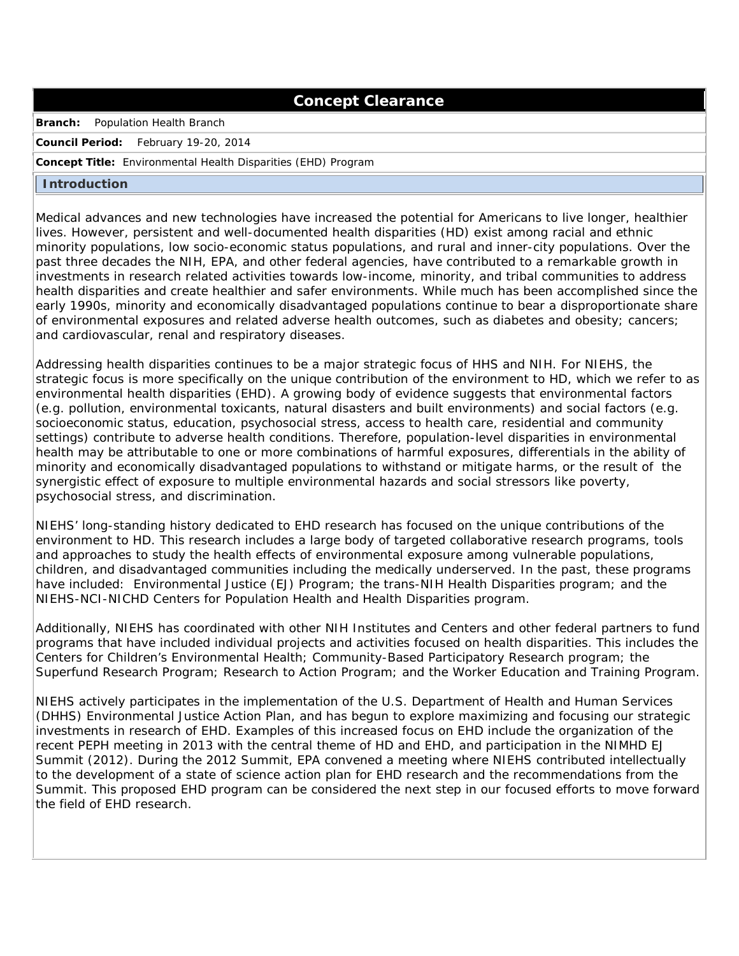# **Concept Clearance**

**Branch:** Population Health Branch

**Council Period:** February 19-20, 2014

#### **Concept Title:** Environmental Health Disparities (EHD) Program

#### **Introduction**

Medical advances and new technologies have increased the potential for Americans to live longer, healthier lives. However, persistent and well-documented health disparities (HD) exist among racial and ethnic minority populations, low socio-economic status populations, and rural and inner-city populations. Over the past three decades the NIH, EPA, and other federal agencies, have contributed to a remarkable growth in investments in research related activities towards low-income, minority, and tribal communities to address health disparities and create healthier and safer environments. While much has been accomplished since the early 1990s, minority and economically disadvantaged populations continue to bear a disproportionate share of environmental exposures and related adverse health outcomes, such as diabetes and obesity; cancers; and cardiovascular, renal and respiratory diseases.

Addressing health disparities continues to be a major strategic focus of HHS and NIH. For NIEHS, the strategic focus is more specifically on the unique contribution of the environment to HD, which we refer to as environmental health disparities (EHD). A growing body of evidence suggests that environmental factors (e.g. pollution, environmental toxicants, natural disasters and built environments) and social factors (e.g. socioeconomic status, education, psychosocial stress, access to health care, residential and community settings) contribute to adverse health conditions. Therefore, population-level disparities in environmental health may be attributable to one or more combinations of harmful exposures, differentials in the ability of minority and economically disadvantaged populations to withstand or mitigate harms, or the result of the synergistic effect of exposure to multiple environmental hazards and social stressors like poverty, psychosocial stress, and discrimination.

NIEHS' long-standing history dedicated to EHD research has focused on the unique contributions of the environment to HD. This research includes a large body of targeted collaborative research programs, tools and approaches to study the health effects of environmental exposure among vulnerable populations, children, and disadvantaged communities including the medically underserved. In the past, these programs have included: Environmental Justice (EJ) Program; the trans-NIH Health Disparities program; and the NIEHS-NCI-NICHD Centers for Population Health and Health Disparities program.

Additionally, NIEHS has coordinated with other NIH Institutes and Centers and other federal partners to fund programs that have included individual projects and activities focused on health disparities. This includes the Centers for Children's Environmental Health; Community-Based Participatory Research program; the Superfund Research Program; Research to Action Program; and the Worker Education and Training Program.

NIEHS actively participates in the implementation of the U.S. Department of Health and Human Services (DHHS) Environmental Justice Action Plan, and has begun to explore maximizing and focusing our strategic investments in research of EHD. Examples of this increased focus on EHD include the organization of the recent PEPH meeting in 2013 with the central theme of HD and EHD, and participation in the NIMHD EJ Summit (2012). During the 2012 Summit, EPA convened a meeting where NIEHS contributed intellectually to the development of a state of science action plan for EHD research and the recommendations from the Summit. This proposed EHD program can be considered the next step in our focused efforts to move forward the field of EHD research.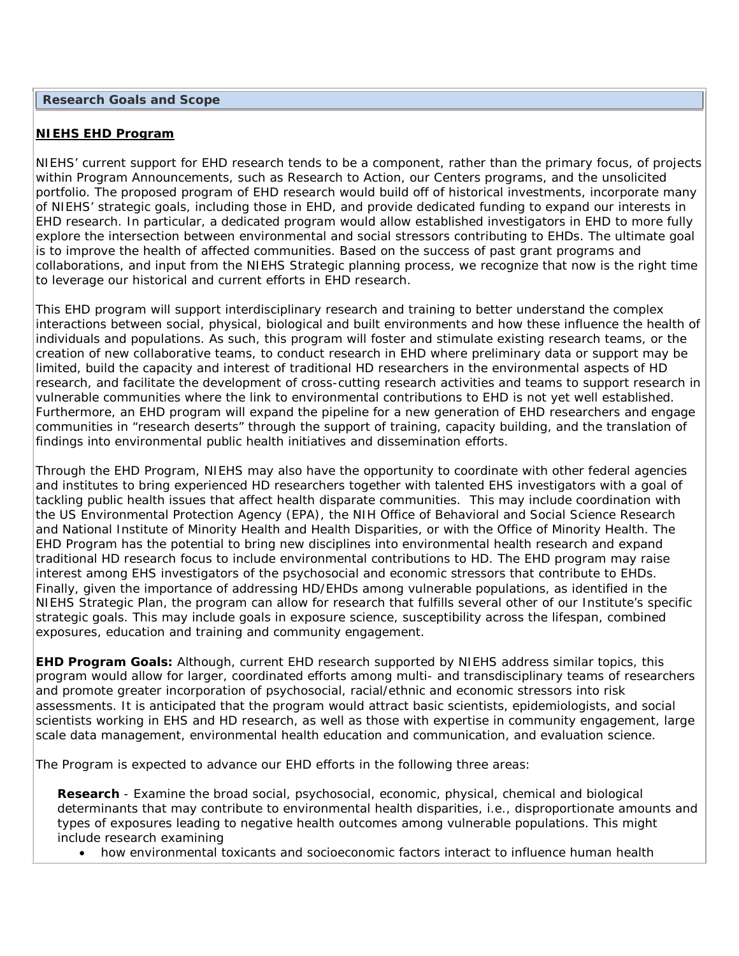### **NIEHS EHD Program**

NIEHS' current support for EHD research tends to be a component, rather than the primary focus, of projects within Program Announcements, such as Research to Action, our Centers programs, and the unsolicited portfolio. The proposed program of EHD research would build off of historical investments, incorporate many of NIEHS' strategic goals, including those in EHD, and provide dedicated funding to expand our interests in EHD research. In particular, a dedicated program would allow established investigators in EHD to more fully explore the intersection between environmental and social stressors contributing to EHDs. The ultimate goal is to improve the health of affected communities. Based on the success of past grant programs and collaborations, and input from the NIEHS Strategic planning process, we recognize that now is the right time to leverage our historical and current efforts in EHD research.

This EHD program will support interdisciplinary research and training to better understand the complex interactions between social, physical, biological and built environments and how these influence the health of individuals and populations. As such, this program will foster and stimulate existing research teams, or the creation of new collaborative teams, to conduct research in EHD where preliminary data or support may be limited, build the capacity and interest of traditional HD researchers in the environmental aspects of HD research, and facilitate the development of cross-cutting research activities and teams to support research in vulnerable communities where the link to environmental contributions to EHD is not yet well established. Furthermore, an EHD program will expand the pipeline for a new generation of EHD researchers and engage communities in "research deserts" through the support of training, capacity building, and the translation of findings into environmental public health initiatives and dissemination efforts.

Through the EHD Program, NIEHS may also have the opportunity to coordinate with other federal agencies and institutes to bring experienced HD researchers together with talented EHS investigators with a goal of tackling public health issues that affect health disparate communities. This may include coordination with the US Environmental Protection Agency (EPA), the NIH Office of Behavioral and Social Science Research and National Institute of Minority Health and Health Disparities, or with the Office of Minority Health. The EHD Program has the potential to bring new disciplines into environmental health research and expand traditional HD research focus to include environmental contributions to HD. The EHD program may raise interest among EHS investigators of the psychosocial and economic stressors that contribute to EHDs. Finally, given the importance of addressing HD/EHDs among vulnerable populations, as identified in the NIEHS Strategic Plan, the program can allow for research that fulfills several other of our Institute's specific strategic goals. This may include goals in exposure science, susceptibility across the lifespan, combined exposures, education and training and community engagement.

**EHD Program Goals:** Although, current EHD research supported by NIEHS address similar topics, this program would allow for larger, coordinated efforts among multi- and transdisciplinary teams of researchers and promote greater incorporation of psychosocial, racial/ethnic and economic stressors into risk assessments. It is anticipated that the program would attract basic scientists, epidemiologists, and social scientists working in EHS and HD research, as well as those with expertise in community engagement, large scale data management, environmental health education and communication, and evaluation science.

The Program is expected to advance our EHD efforts in the following three areas:

**Research** - Examine the broad social, psychosocial, economic, physical, chemical and biological determinants that may contribute to environmental health disparities, i.e., disproportionate amounts and types of exposures leading to negative health outcomes among vulnerable populations. This might include research examining

• how environmental toxicants and socioeconomic factors interact to influence human health